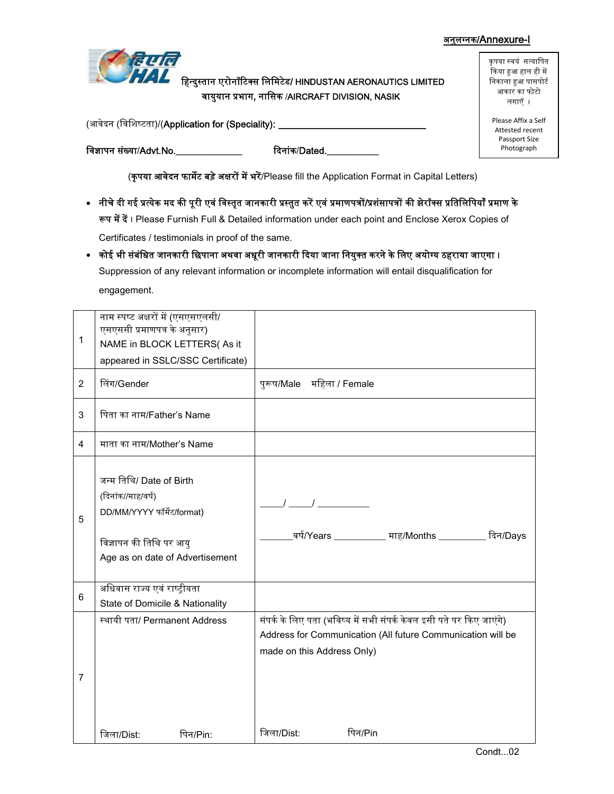## अनुलग्नक/Annexure-I



हिन्दुस्तान एरोनॉटिक्स लिमिटेड/ HINDUSTAN AERONAUTICS LIMITED वायुयान प्रभाग, नासिक /AIRCRAFT DIVISION, NASIK

(आवेदन (विशिष्टता)/(Application for (Speciality): \_\_\_\_\_\_\_\_\_\_

कृपया स्वयं सत्यापित किया हुआ हाल ही में निकाला हुआ पासपोर्ट आकार का फोटो लगाएँ ।

Please Affix a Self Attested recent Passport Size Photograph

विज्ञापन संख्या/Advt.No.\_\_\_\_\_\_\_\_\_\_\_\_\_\_\_ दिनांक/Dated.

(कृपया आवेदन फार्मेट बड़े अक्षरों में भरें/Please fill the Application Format in Capital Letters)

- नीचे दी गई प्रत्येक मद की पूरी एवं विस्तृत जानकारी प्रस्तुत करें एवं प्रमाणपत्रों/प्रशंसापत्रों की झेरॉक्स प्रतिलिपियाँ प्रमाण के रूप में दें। Please Furnish Full & Detailed information under each point and Enclose Xerox Copies of Certificates / testimonials in proof of the same.
- कोई भी संबंधित जानकारी छिपाना अथवा अधूरी जानकारी दिया जाना नियुक्त करने के लिए अयोग्य ठहराया जाएगा । Suppression of any relevant information or incomplete information will entail disqualification for engagement.

| 1              | नाम स्पष्ट अक्षरों में (एसएसएलसी/<br>एसएससी प्रमाणपत्र के अनुसार)<br>NAME in BLOCK LETTERS(As it<br>appeared in SSLC/SSC Certificate)      |                                                                                                                                                                   |
|----------------|--------------------------------------------------------------------------------------------------------------------------------------------|-------------------------------------------------------------------------------------------------------------------------------------------------------------------|
| $\overline{2}$ | लिंग/Gender                                                                                                                                | पुरूष/Male महिला / Female                                                                                                                                         |
| 3              | पिता का नाम/Father's Name                                                                                                                  |                                                                                                                                                                   |
| 4              | माता का नाम/Mother's Name                                                                                                                  |                                                                                                                                                                   |
| 5              | जन्म तिथि/ Date of Birth<br>(दिनांक//माह/वर्ष)<br>DD/MM/YYYY फॉर्मेट/format)<br>विज्ञापन की तिथि पर आयु<br>Age as on date of Advertisement | <u>वर्ष/Years __________</u> माह/Months _________ दिन/Days                                                                                                        |
| 6              | अधिवास राज्य एवं राष्ट्रीयता<br>State of Domicile & Nationality                                                                            |                                                                                                                                                                   |
| 7              | स्थायी पता/ Permanent Address                                                                                                              | संपर्क के लिए पता (भविष्य में सभी संपर्क केवल इसी पते पर किए जाएंगे)<br>Address for Communication (All future Communication will be<br>made on this Address Only) |
|                | पिन/Pin:<br>जिला/Dist:                                                                                                                     | जिला/Dist:<br>पिन/Pin                                                                                                                                             |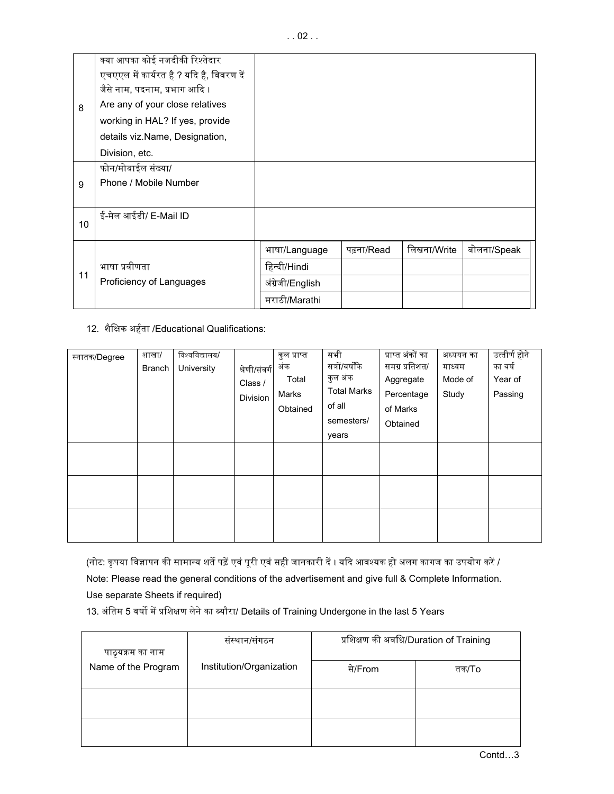|    | क्या आपका कोई नजदीकी रिश्तेदार           |                  |            |             |             |
|----|------------------------------------------|------------------|------------|-------------|-------------|
| 8  | एचएएल में कार्यरत है ? यदि है, विवरण दें |                  |            |             |             |
|    | जैसे नाम, पदनाम, प्रभाग आदि ।            |                  |            |             |             |
|    | Are any of your close relatives          |                  |            |             |             |
|    | working in HAL? If yes, provide          |                  |            |             |             |
|    | details viz.Name, Designation,           |                  |            |             |             |
|    | Division, etc.                           |                  |            |             |             |
|    | फोन/मोबाईल संख्या/                       |                  |            |             |             |
| 9  | Phone / Mobile Number                    |                  |            |             |             |
|    |                                          |                  |            |             |             |
|    | ई-मेल आईडी/ E-Mail ID                    |                  |            |             |             |
| 10 |                                          |                  |            |             |             |
|    |                                          | भाषा/Language    | पढ़ना/Read | लिखना/Write | बोलना/Speak |
|    | भाषा प्रवीणता                            | हिन्दी/Hindi     |            |             |             |
| 11 | Proficiency of Languages                 | अंग्रेजी/English |            |             |             |
|    |                                          | मराठी/Marathi    |            |             |             |

## 12. शैक्षिक अर्हता /Educational Qualifications:

| स्नातक/Degree | शाखा/<br><b>Branch</b> | विश्वविद्यालय/<br>University | श्रेणी/संवर्ग<br>Class /<br>Division | कुल प्राप्त<br>अंक<br>Total<br>Marks<br>Obtained | सभी<br>सत्रों/वर्षोंके<br>कुल अंक<br><b>Total Marks</b><br>of all<br>semesters/<br>years | प्राप्त अंकों का<br>समग्र प्रतिशत/<br>Aggregate<br>Percentage<br>of Marks<br>Obtained | अध्ययन का<br>माध्यम<br>Mode of<br>Study | उत्तीर्ण होने<br>का वर्ष<br>Year of<br>Passing |
|---------------|------------------------|------------------------------|--------------------------------------|--------------------------------------------------|------------------------------------------------------------------------------------------|---------------------------------------------------------------------------------------|-----------------------------------------|------------------------------------------------|
|               |                        |                              |                                      |                                                  |                                                                                          |                                                                                       |                                         |                                                |
|               |                        |                              |                                      |                                                  |                                                                                          |                                                                                       |                                         |                                                |
|               |                        |                              |                                      |                                                  |                                                                                          |                                                                                       |                                         |                                                |

(नोट: कृपया विज्ञापन की सामान्य शर्ते पढ़ें एवं पूरी एवं सही जानकारी दें । यदि आवश्यक हो अलग कागज का उपयोग करें /

Note: Please read the general conditions of the advertisement and give full & Complete Information.

Use separate Sheets if required)

13. अंतिम 5 वर्षो में प्रशिक्षण लेने का ब्यौरा/ Details of Training Undergone in the last 5 Years

| पाठ्यक्रम का नाम    | संस्थान/संगठन            | प्रशिक्षण की अवधि/Duration of Training |       |  |  |
|---------------------|--------------------------|----------------------------------------|-------|--|--|
| Name of the Program | Institution/Organization | से/From                                | तक/To |  |  |
|                     |                          |                                        |       |  |  |
|                     |                          |                                        |       |  |  |